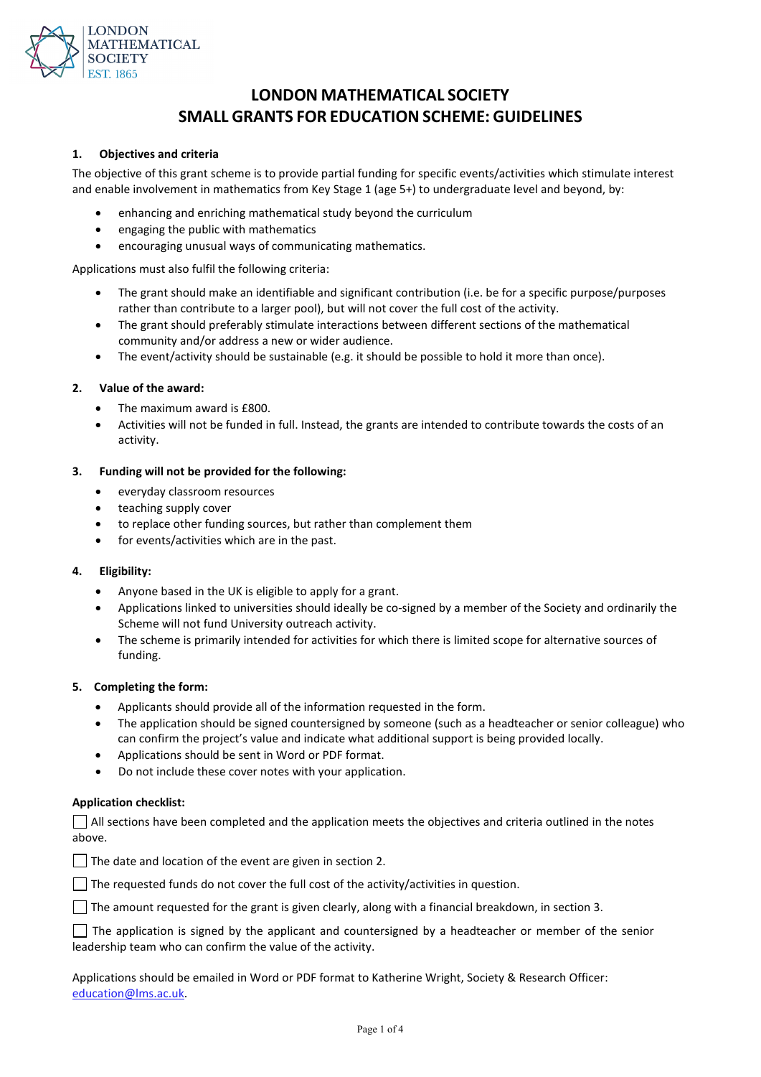

# **LONDON MATHEMATICAL SOCIETY SMALL GRANTS FOR EDUCATION SCHEME: GUIDELINES**

#### **1. Objectives and criteria**

The objective of this grant scheme is to provide partial funding for specific events/activities which stimulate interest and enable involvement in mathematics from Key Stage 1 (age 5+) to undergraduate level and beyond, by:

- enhancing and enriching mathematical study beyond the curriculum
- engaging the public with mathematics
- encouraging unusual ways of communicating mathematics.

Applications must also fulfil the following criteria:

- The grant should make an identifiable and significant contribution (i.e. be for a specific purpose/purposes rather than contribute to a larger pool), but will not cover the full cost of the activity.
- The grant should preferably stimulate interactions between different sections of the mathematical community and/or address a new or wider audience.
- The event/activity should be sustainable (e.g. it should be possible to hold it more than once).

#### **2. Value of the award:**

- The maximum award is £800.
- Activities will not be funded in full. Instead, the grants are intended to contribute towards the costs of an activity.

#### **3. Funding will not be provided for the following:**

- everyday classroom resources
- teaching supply cover
- to replace other funding sources, but rather than complement them
- for events/activities which are in the past.

#### **4. Eligibility:**

- Anyone based in the UK is eligible to apply for a grant.
- Applications linked to universities should ideally be co-signed by a member of the Society and ordinarily the Scheme will not fund University outreach activity.
- The scheme is primarily intended for activities for which there is limited scope for alternative sources of funding.

#### **5. Completing the form:**

- Applicants should provide all of the information requested in the form.
- The application should be signed countersigned by someone (such as a headteacher or senior colleague) who can confirm the project's value and indicate what additional support is being provided locally.
- Applications should be sent in Word or PDF format.
- Do not include these cover notes with your application.

#### **Application checklist:**

 $\vert$  All sections have been completed and the application meets the objectives and criteria outlined in the notes above.

 $\Box$  The date and location of the event are given in section 2.

 $\Box$  The requested funds do not cover the full cost of the activity/activities in question.

 $\Box$  The amount requested for the grant is given clearly, along with a financial breakdown, in section 3.

 $\Box$  The application is signed by the applicant and countersigned by a headteacher or member of the senior leadership team who can confirm the value of the activity.

Applications should be emailed in Word or PDF format to Katherine Wright, Society & Research Officer: [education@lms.ac.uk.](mailto:education@lms.ac.uk)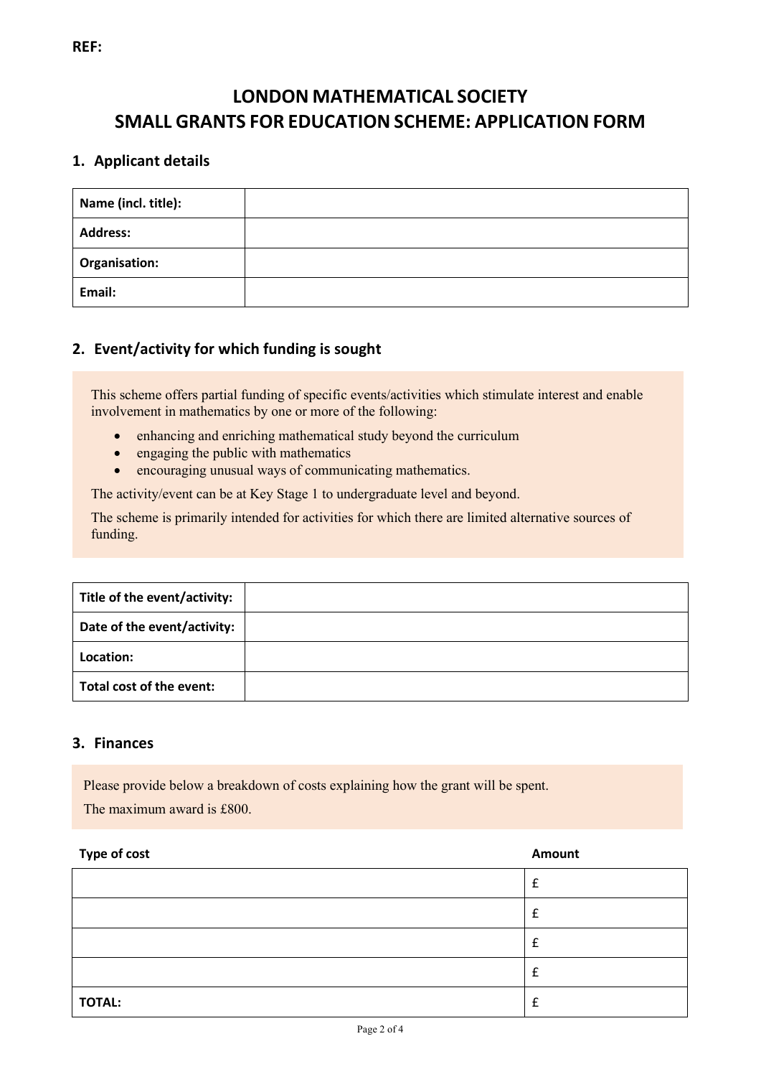# **LONDON MATHEMATICAL SOCIETY SMALL GRANTS FOR EDUCATION SCHEME: APPLICATION FORM**

## **1. Applicant details**

| Name (incl. title):  |  |
|----------------------|--|
| <b>Address:</b>      |  |
| <b>Organisation:</b> |  |
| Email:               |  |

### **2. Event/activity for which funding is sought**

This scheme offers partial funding of specific events/activities which stimulate interest and enable involvement in mathematics by one or more of the following:

- enhancing and enriching mathematical study beyond the curriculum
- engaging the public with mathematics
- encouraging unusual ways of communicating mathematics.

The activity/event can be at Key Stage 1 to undergraduate level and beyond.

The scheme is primarily intended for activities for which there are limited alternative sources of funding.

| Title of the event/activity: |  |
|------------------------------|--|
| Date of the event/activity:  |  |
| Location:                    |  |
| Total cost of the event:     |  |

### **3. Finances**

Please provide below a breakdown of costs explaining how the grant will be spent. The maximum award is £800.

# **Type of cost Amount**

| TOTAL: |  |
|--------|--|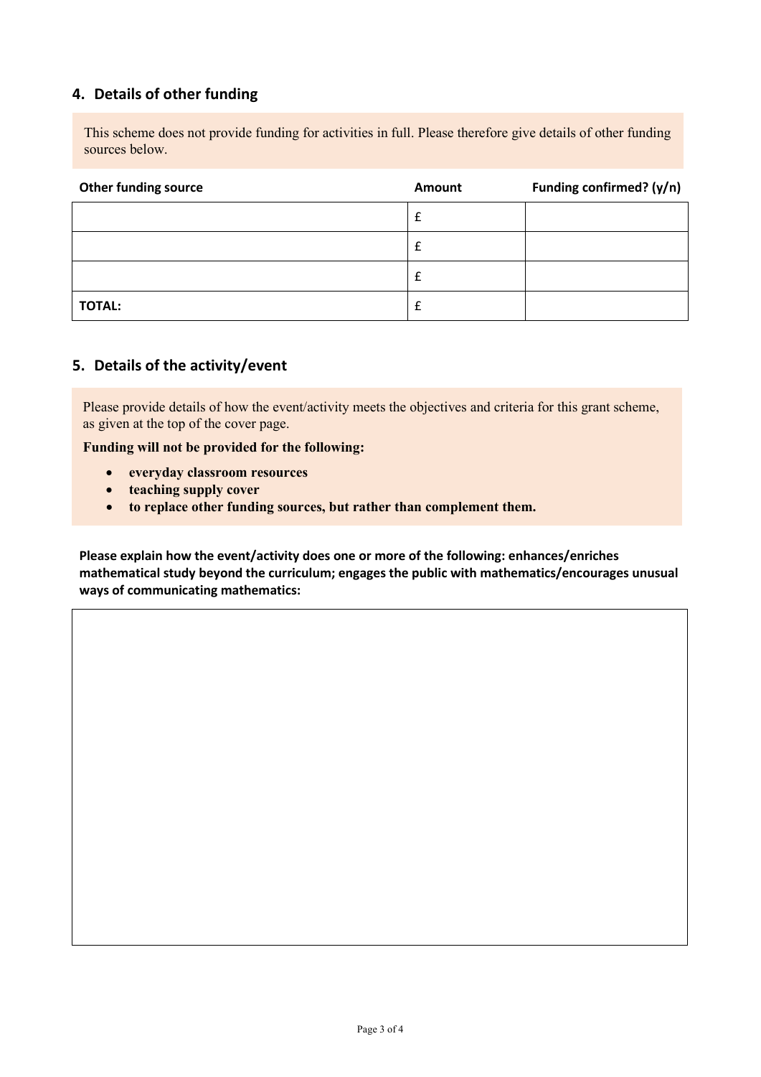### **4. Details of other funding**

This scheme does not provide funding for activities in full. Please therefore give details of other funding sources below.

| <b>Other funding source</b> | Amount | Funding confirmed? (y/n) |
|-----------------------------|--------|--------------------------|
|                             | £      |                          |
|                             | £      |                          |
|                             | £      |                          |
| <b>TOTAL:</b>               | £      |                          |

### **5. Details of the activity/event**

Please provide details of how the event/activity meets the objectives and criteria for this grant scheme, as given at the top of the cover page.

**Funding will not be provided for the following:**

- **everyday classroom resources**
- **teaching supply cover**
- **to replace other funding sources, but rather than complement them.**

**Please explain how the event/activity does one or more of the following: enhances/enriches mathematical study beyond the curriculum; engages the public with mathematics/encourages unusual ways of communicating mathematics:**